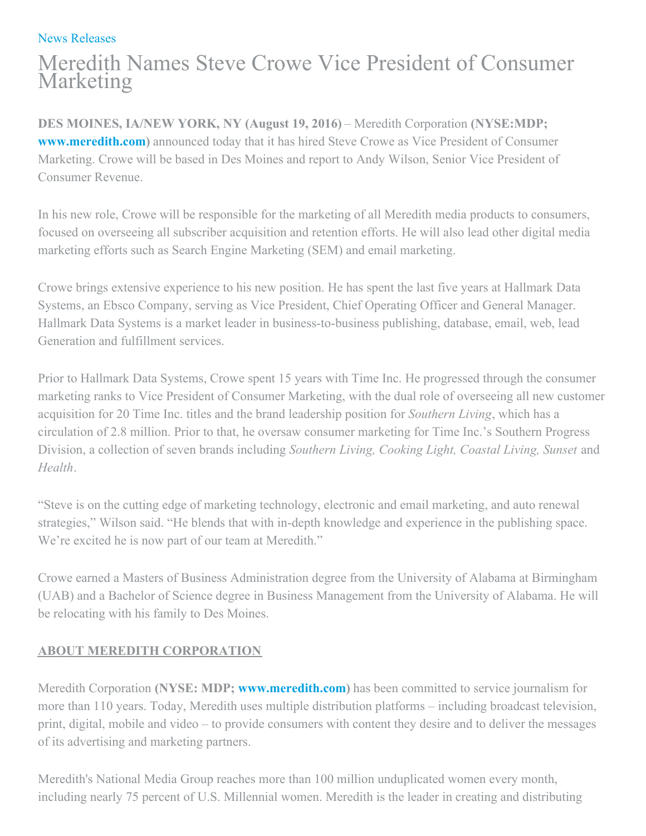## News [Releases](https://meredith.mediaroom.com/news-releases)

## Meredith Names Steve Crowe Vice President of Consumer Marketing

**DES MOINES, IA/NEW YORK, NY (August 19, 2016)** – Meredith Corporation **(NYSE:MDP; [www.meredith.com](http://www.meredith.com/))** announced today that it has hired Steve Crowe as Vice President of Consumer Marketing. Crowe will be based in Des Moines and report to Andy Wilson, Senior Vice President of Consumer Revenue.

In his new role, Crowe will be responsible for the marketing of all Meredith media products to consumers, focused on overseeing all subscriber acquisition and retention efforts. He will also lead other digital media marketing efforts such as Search Engine Marketing (SEM) and email marketing.

Crowe brings extensive experience to his new position. He has spent the last five years at Hallmark Data Systems, an Ebsco Company, serving as Vice President, Chief Operating Officer and General Manager. Hallmark Data Systems is a market leader in business-to-business publishing, database, email, web, lead Generation and fulfillment services.

Prior to Hallmark Data Systems, Crowe spent 15 years with Time Inc. He progressed through the consumer marketing ranks to Vice President of Consumer Marketing, with the dual role of overseeing all new customer acquisition for 20 Time Inc. titles and the brand leadership position for *Southern Living*, which has a circulation of 2.8 million. Prior to that, he oversaw consumer marketing for Time Inc.'s Southern Progress Division, a collection of seven brands including *Southern Living, Cooking Light, Coastal Living, Sunset* and *Health*.

"Steve is on the cutting edge of marketing technology, electronic and email marketing, and auto renewal strategies," Wilson said. "He blends that with in-depth knowledge and experience in the publishing space. We're excited he is now part of our team at Meredith."

Crowe earned a Masters of Business Administration degree from the University of Alabama at Birmingham (UAB) and a Bachelor of Science degree in Business Management from the University of Alabama. He will be relocating with his family to Des Moines.

## **ABOUT MEREDITH CORPORATION**

Meredith Corporation **(NYSE: MDP; [www.meredith.com](http://www.meredith.com/))** has been committed to service journalism for more than 110 years. Today, Meredith uses multiple distribution platforms – including broadcast television, print, digital, mobile and video – to provide consumers with content they desire and to deliver the messages of its advertising and marketing partners.

Meredith's National Media Group reaches more than 100 million unduplicated women every month, including nearly 75 percent of U.S. Millennial women. Meredith is the leader in creating and distributing